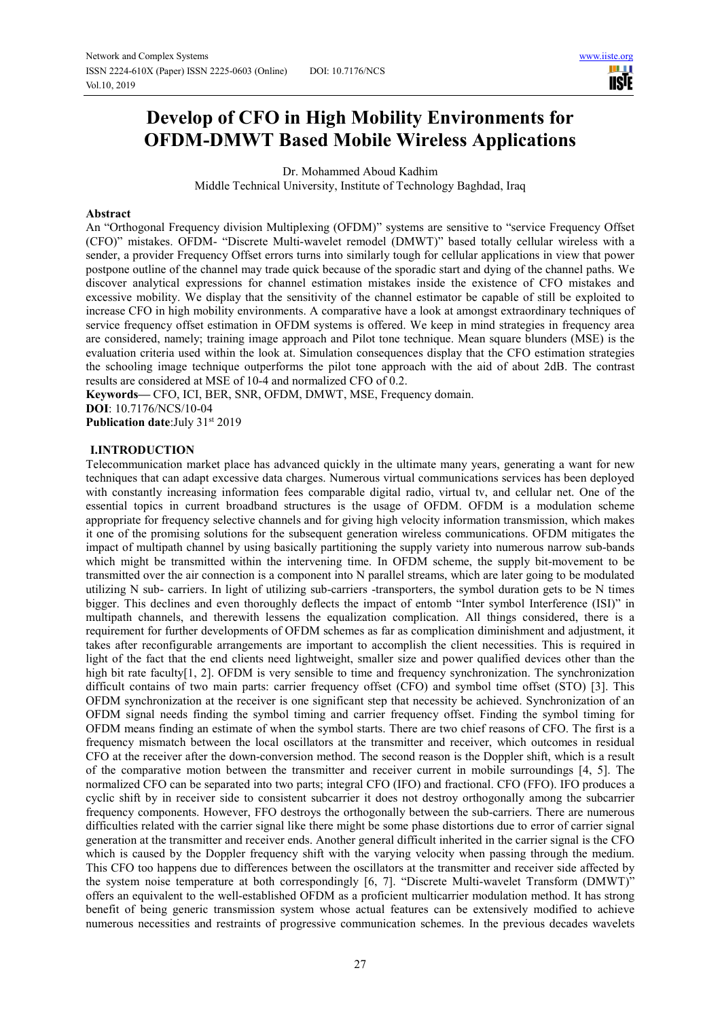n a **IISTE** 

# **Develop of CFO in High Mobility Environments for OFDM-DMWT Based Mobile Wireless Applications**

Dr. Mohammed Aboud Kadhim

Middle Technical University, Institute of Technology Baghdad, Iraq

#### **Abstract**

An "Orthogonal Frequency division Multiplexing (OFDM)" systems are sensitive to "service Frequency Offset (CFO)" mistakes. OFDM- "Discrete Multi-wavelet remodel (DMWT)" based totally cellular wireless with a sender, a provider Frequency Offset errors turns into similarly tough for cellular applications in view that power postpone outline of the channel may trade quick because of the sporadic start and dying of the channel paths. We discover analytical expressions for channel estimation mistakes inside the existence of CFO mistakes and excessive mobility. We display that the sensitivity of the channel estimator be capable of still be exploited to increase CFO in high mobility environments. A comparative have a look at amongst extraordinary techniques of service frequency offset estimation in OFDM systems is offered. We keep in mind strategies in frequency area are considered, namely; training image approach and Pilot tone technique. Mean square blunders (MSE) is the evaluation criteria used within the look at. Simulation consequences display that the CFO estimation strategies the schooling image technique outperforms the pilot tone approach with the aid of about 2dB. The contrast results are considered at MSE of 10-4 and normalized CFO of 0.2.

**Keywords—** CFO, ICI, BER, SNR, OFDM, DMWT, MSE, Frequency domain. **DOI**: 10.7176/NCS/10-04

**Publication date:**July 31st 2019

#### **I.INTRODUCTION**

Telecommunication market place has advanced quickly in the ultimate many years, generating a want for new techniques that can adapt excessive data charges. Numerous virtual communications services has been deployed with constantly increasing information fees comparable digital radio, virtual tv, and cellular net. One of the essential topics in current broadband structures is the usage of OFDM. OFDM is a modulation scheme appropriate for frequency selective channels and for giving high velocity information transmission, which makes it one of the promising solutions for the subsequent generation wireless communications. OFDM mitigates the impact of multipath channel by using basically partitioning the supply variety into numerous narrow sub-bands which might be transmitted within the intervening time. In OFDM scheme, the supply bit-movement to be transmitted over the air connection is a component into N parallel streams, which are later going to be modulated utilizing N sub- carriers. In light of utilizing sub-carriers -transporters, the symbol duration gets to be N times bigger. This declines and even thoroughly deflects the impact of entomb "Inter symbol Interference (ISI)" in multipath channels, and therewith lessens the equalization complication. All things considered, there is a requirement for further developments of OFDM schemes as far as complication diminishment and adjustment, it takes after reconfigurable arrangements are important to accomplish the client necessities. This is required in light of the fact that the end clients need lightweight, smaller size and power qualified devices other than the high bit rate faculty<sup>[1, 2]</sup>. OFDM is very sensible to time and frequency synchronization. The synchronization difficult contains of two main parts: carrier frequency offset (CFO) and symbol time offset (STO) [3]. This OFDM synchronization at the receiver is one significant step that necessity be achieved. Synchronization of an OFDM signal needs finding the symbol timing and carrier frequency offset. Finding the symbol timing for OFDM means finding an estimate of when the symbol starts. There are two chief reasons of CFO. The first is a frequency mismatch between the local oscillators at the transmitter and receiver, which outcomes in residual CFO at the receiver after the down-conversion method. The second reason is the Doppler shift, which is a result of the comparative motion between the transmitter and receiver current in mobile surroundings [4, 5]. The normalized CFO can be separated into two parts; integral CFO (IFO) and fractional. CFO (FFO). IFO produces a cyclic shift by in receiver side to consistent subcarrier it does not destroy orthogonally among the subcarrier frequency components. However, FFO destroys the orthogonally between the sub-carriers. There are numerous difficulties related with the carrier signal like there might be some phase distortions due to error of carrier signal generation at the transmitter and receiver ends. Another general difficult inherited in the carrier signal is the CFO which is caused by the Doppler frequency shift with the varying velocity when passing through the medium. This CFO too happens due to differences between the oscillators at the transmitter and receiver side affected by the system noise temperature at both correspondingly [6, 7]. "Discrete Multi-wavelet Transform (DMWT)" offers an equivalent to the well-established OFDM as a proficient multicarrier modulation method. It has strong benefit of being generic transmission system whose actual features can be extensively modified to achieve numerous necessities and restraints of progressive communication schemes. In the previous decades wavelets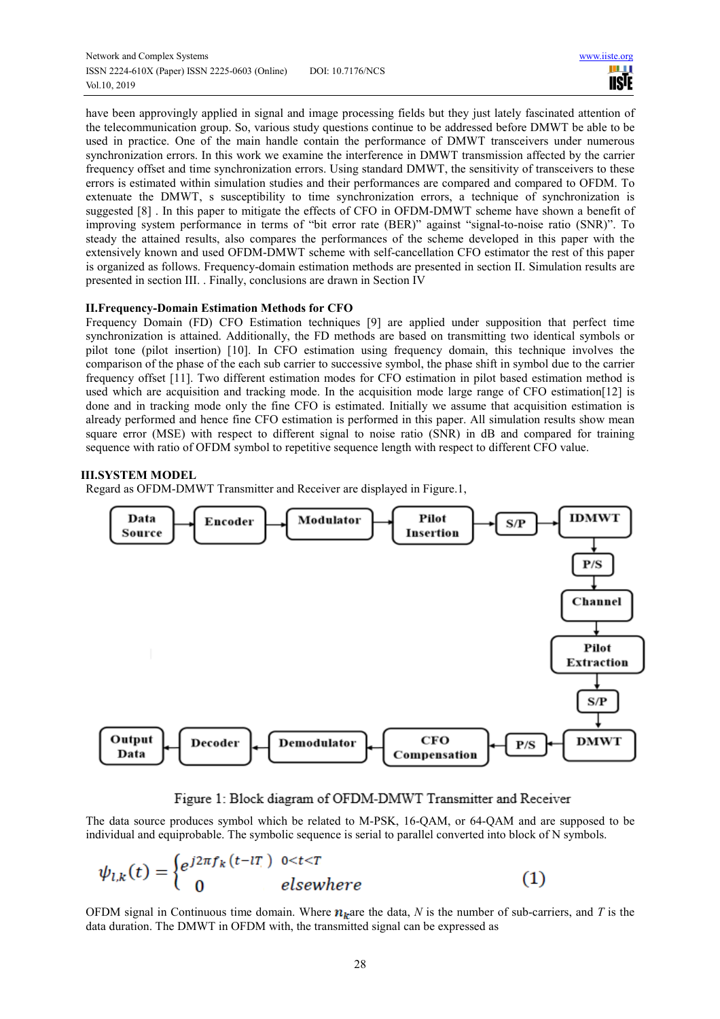have been approvingly applied in signal and image processing fields but they just lately fascinated attention of the telecommunication group. So, various study questions continue to be addressed before DMWT be able to be used in practice. One of the main handle contain the performance of DMWT transceivers under numerous synchronization errors. In this work we examine the interference in DMWT transmission affected by the carrier frequency offset and time synchronization errors. Using standard DMWT, the sensitivity of transceivers to these errors is estimated within simulation studies and their performances are compared and compared to OFDM. To extenuate the DMWT, s susceptibility to time synchronization errors, a technique of synchronization is suggested [8] . In this paper to mitigate the effects of CFO in OFDM-DMWT scheme have shown a benefit of improving system performance in terms of "bit error rate (BER)" against "signal-to-noise ratio (SNR)". To steady the attained results, also compares the performances of the scheme developed in this paper with the extensively known and used OFDM-DMWT scheme with self-cancellation CFO estimator the rest of this paper is organized as follows. Frequency-domain estimation methods are presented in section II. Simulation results are presented in section III. . Finally, conclusions are drawn in Section IV

## **II.Frequency-Domain Estimation Methods for CFO**

Frequency Domain (FD) CFO Estimation techniques [9] are applied under supposition that perfect time synchronization is attained. Additionally, the FD methods are based on transmitting two identical symbols or pilot tone (pilot insertion) [10]. In CFO estimation using frequency domain, this technique involves the comparison of the phase of the each sub carrier to successive symbol, the phase shift in symbol due to the carrier frequency offset [11]. Two different estimation modes for CFO estimation in pilot based estimation method is used which are acquisition and tracking mode. In the acquisition mode large range of CFO estimation[12] is done and in tracking mode only the fine CFO is estimated. Initially we assume that acquisition estimation is already performed and hence fine CFO estimation is performed in this paper. All simulation results show mean square error (MSE) with respect to different signal to noise ratio (SNR) in dB and compared for training sequence with ratio of OFDM symbol to repetitive sequence length with respect to different CFO value.

## **III.SYSTEM MODEL**

Regard as OFDM-DMWT Transmitter and Receiver are displayed in Figure.1,



Figure 1: Block diagram of OFDM-DMWT Transmitter and Receiver

The data source produces symbol which be related to M-PSK, 16-QAM, or 64-QAM and are supposed to be individual and equiprobable. The symbolic sequence is serial to parallel converted into block of N symbols.

$$
\psi_{l,k}(t) = \begin{cases} e^{j2\pi f_k(t-lT_l)} & 0 < t < T \\ 0 & \text{elsewhere} \end{cases} \tag{1}
$$

OFDM signal in Continuous time domain. Where  $n_k$  are the data, N is the number of sub-carriers, and T is the data duration. The DMWT in OFDM with, the transmitted signal can be expressed as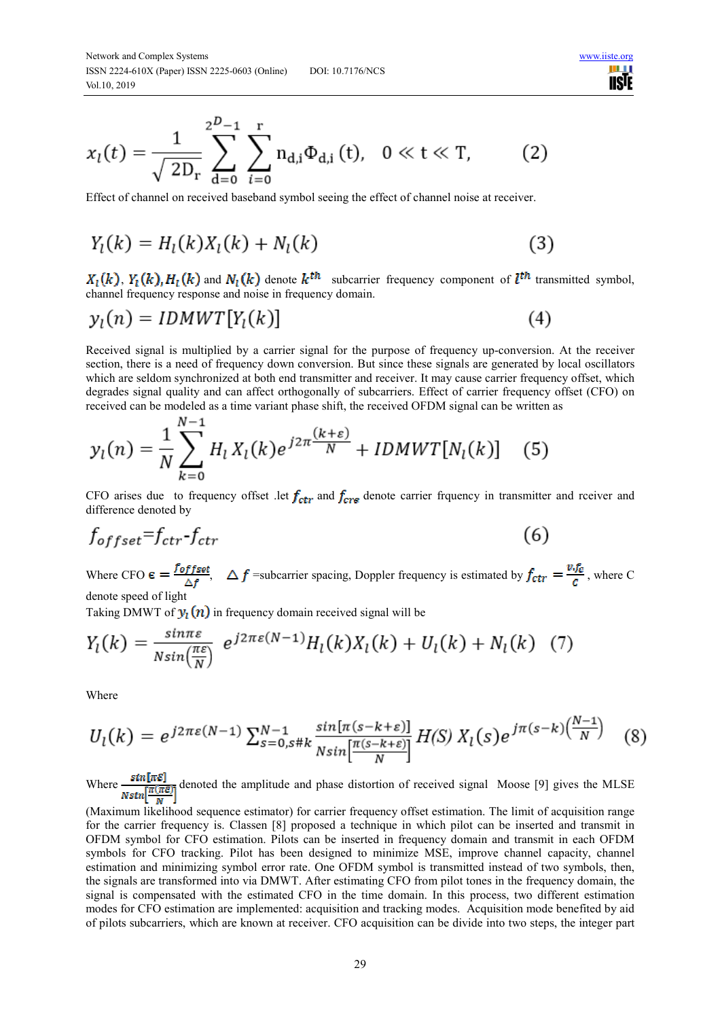$$
x_{l}(t) = \frac{1}{\sqrt{2D_{r}}} \sum_{d=0}^{2^{D}-1} \sum_{i=0}^{r} n_{d,i} \Phi_{d,i}(t), \quad 0 \ll t \ll T,
$$
 (2)

Effect of channel on received baseband symbol seeing the effect of channel noise at receiver.

$$
Y_l(k) = H_l(k)X_l(k) + N_l(k)
$$
 (3)

 $X_1(k)$ ,  $Y_1(k)$ ,  $H_1(k)$  and  $N_1(k)$  denote  $k^{th}$  subcarrier frequency component of  $l^{th}$  transmitted symbol, channel frequency response and noise in frequency domain.

n e **USIE** 

$$
y_l(n) = IDMWT[Y_l(k)] \tag{4}
$$

Received signal is multiplied by a carrier signal for the purpose of frequency up-conversion. At the receiver section, there is a need of frequency down conversion. But since these signals are generated by local oscillators which are seldom synchronized at both end transmitter and receiver. It may cause carrier frequency offset, which degrades signal quality and can affect orthogonally of subcarriers. Effect of carrier frequency offset (CFO) on received can be modeled as a time variant phase shift, the received OFDM signal can be written as

$$
y_l(n) = \frac{1}{N} \sum_{k=0}^{N-1} H_l X_l(k) e^{j2\pi \frac{(k+\varepsilon)}{N}} + IDMWT[N_l(k)] \quad (5)
$$

CFO arises due to frequency offset let  $f_{ctr}$  and  $f_{crs}$  denote carrier frquency in transmitter and rceiver and difference denoted by

$$
f_{offset} = f_{ctr} - f_{ctr} \tag{6}
$$

Where CFO  $\epsilon = \frac{CFLS_{esc}}{s}$ ,  $\Delta f$  = subcarrier spacing, Doppler frequency is estimated by  $f_{ctr} = \frac{CFL}{s}$ , where C denote speed of light

Taking DMWT of  $y_l(n)$  in frequency domain received signal will be

AT.

$$
Y_l(k) = \frac{\sin \pi \varepsilon}{N \sin(\frac{\pi \varepsilon}{N})} e^{j2\pi \varepsilon (N-1)} H_l(k) X_l(k) + U_l(k) + N_l(k) \tag{7}
$$

Where

$$
U_l(k) = e^{j2\pi\varepsilon(N-1)} \sum_{s=0, s\#k}^{N-1} \frac{\sin[\pi(s-k+\varepsilon)]}{N \sin[\frac{\pi(s-k+\varepsilon)}{N}]} H(S) X_l(s) e^{j\pi(s-k)(\frac{N-1}{N})}
$$
(8)

Where  $\frac{\sin[\pi \varepsilon]}{N \sin[\pi(\pi \varepsilon)]}$  denoted the amplitude and phase distortion of received signal Moose [9] gives the MLSE

(Maximum likelihood sequence estimator) for carrier frequency offset estimation. The limit of acquisition range for the carrier frequency is. Classen [8] proposed a technique in which pilot can be inserted and transmit in OFDM symbol for CFO estimation. Pilots can be inserted in frequency domain and transmit in each OFDM symbols for CFO tracking. Pilot has been designed to minimize MSE, improve channel capacity, channel estimation and minimizing symbol error rate. One OFDM symbol is transmitted instead of two symbols, then, the signals are transformed into via DMWT. After estimating CFO from pilot tones in the frequency domain, the signal is compensated with the estimated CFO in the time domain. In this process, two different estimation modes for CFO estimation are implemented: acquisition and tracking modes. Acquisition mode benefited by aid of pilots subcarriers, which are known at receiver. CFO acquisition can be divide into two steps, the integer part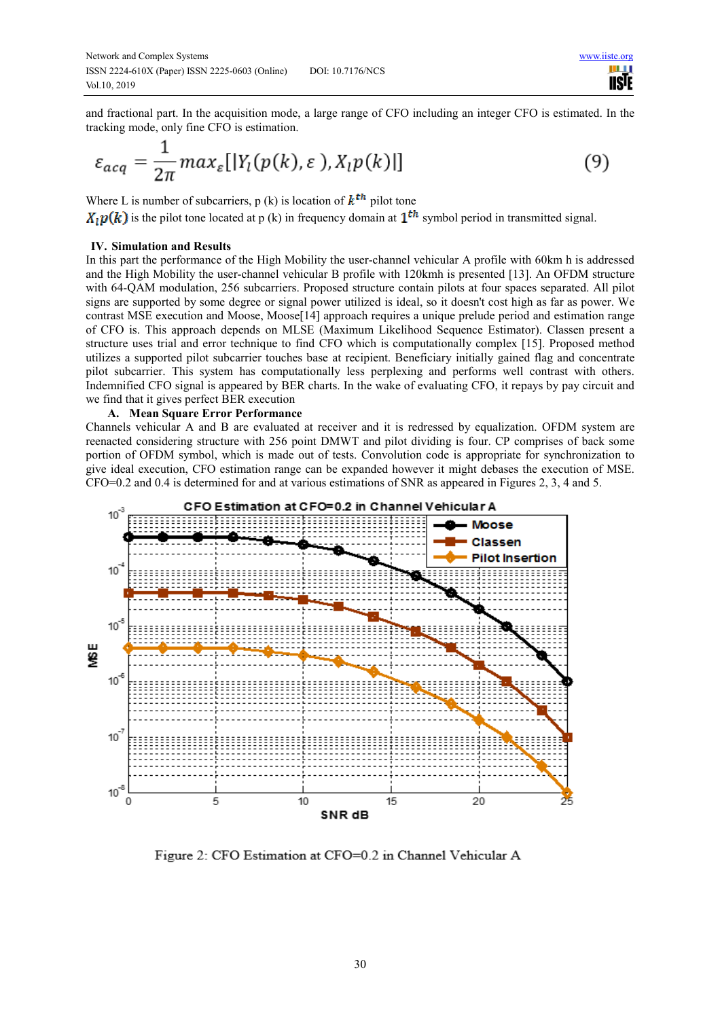and fractional part. In the acquisition mode, a large range of CFO including an integer CFO is estimated. In the tracking mode, only fine CFO is estimation.

$$
\varepsilon_{acq} = \frac{1}{2\pi} \max_{\varepsilon} [|Y_l(p(k), \varepsilon), X_l p(k)|] \tag{9}
$$

Where L is number of subcarriers, p (k) is location of  $k^{th}$  pilot tone

 $\hat{X}_i p(k)$  is the pilot tone located at p (k) in frequency domain at  $1^{th}$  symbol period in transmitted signal.

## **IV. Simulation and Results**

In this part the performance of the High Mobility the user-channel vehicular A profile with 60km h is addressed and the High Mobility the user-channel vehicular B profile with 120kmh is presented [13]. An OFDM structure with 64-QAM modulation, 256 subcarriers. Proposed structure contain pilots at four spaces separated. All pilot signs are supported by some degree or signal power utilized is ideal, so it doesn't cost high as far as power. We contrast MSE execution and Moose, Moose<sup>[14]</sup> approach requires a unique prelude period and estimation range of CFO is. This approach depends on MLSE (Maximum Likelihood Sequence Estimator). Classen present a structure uses trial and error technique to find CFO which is computationally complex [15]. Proposed method utilizes a supported pilot subcarrier touches base at recipient. Beneficiary initially gained flag and concentrate pilot subcarrier. This system has computationally less perplexing and performs well contrast with others. Indemnified CFO signal is appeared by BER charts. In the wake of evaluating CFO, it repays by pay circuit and we find that it gives perfect BER execution

## **A. Mean Square Error Performance**

Channels vehicular A and B are evaluated at receiver and it is redressed by equalization. OFDM system are reenacted considering structure with 256 point DMWT and pilot dividing is four. CP comprises of back some portion of OFDM symbol, which is made out of tests. Convolution code is appropriate for synchronization to give ideal execution, CFO estimation range can be expanded however it might debases the execution of MSE. CFO=0.2 and 0.4 is determined for and at various estimations of SNR as appeared in Figures 2, 3, 4 and 5.



Figure 2: CFO Estimation at CFO=0.2 in Channel Vehicular A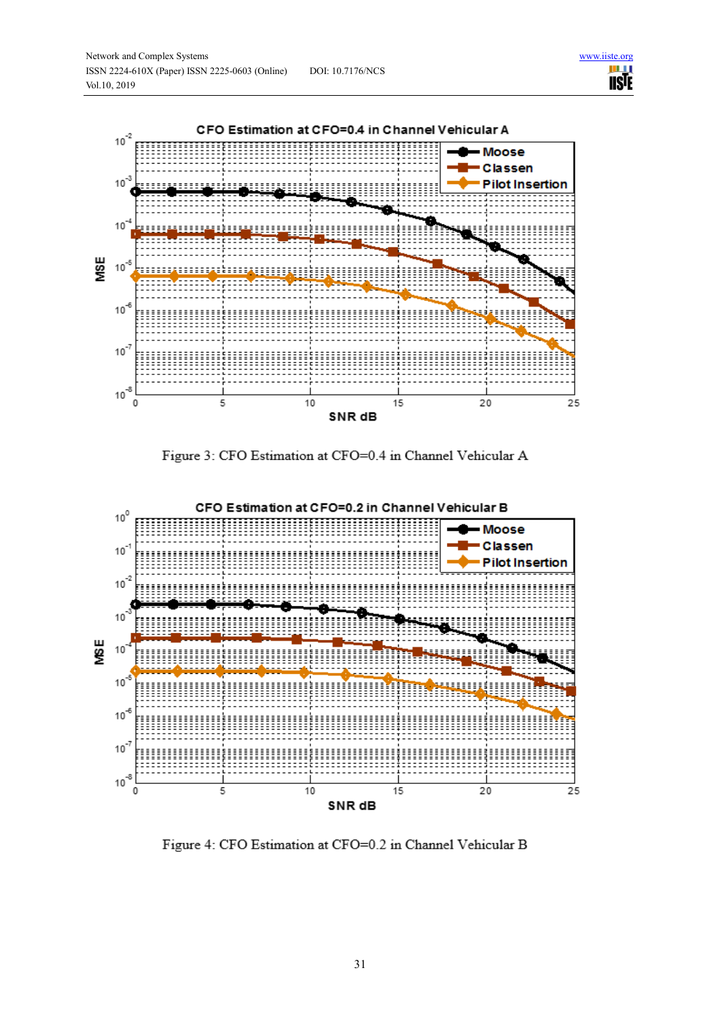**IISTE** 



Figure 3: CFO Estimation at CFO=0.4 in Channel Vehicular A



Figure 4: CFO Estimation at CFO=0.2 in Channel Vehicular B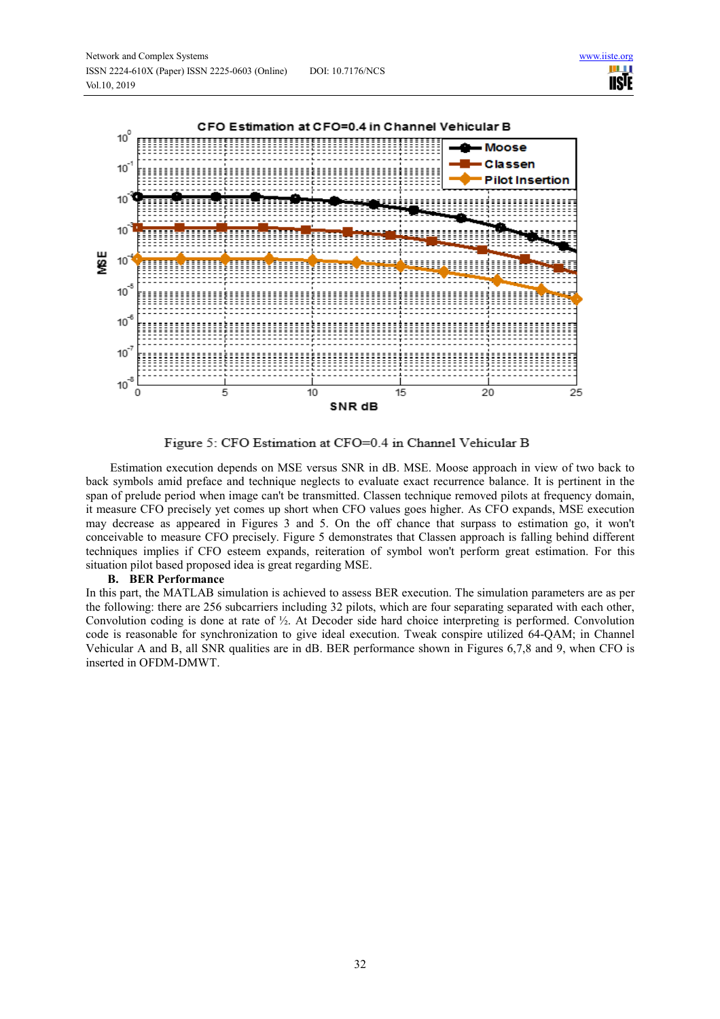

Figure 5: CFO Estimation at CFO=0.4 in Channel Vehicular B

Estimation execution depends on MSE versus SNR in dB. MSE. Moose approach in view of two back to back symbols amid preface and technique neglects to evaluate exact recurrence balance. It is pertinent in the span of prelude period when image can't be transmitted. Classen technique removed pilots at frequency domain, it measure CFO precisely yet comes up short when CFO values goes higher. As CFO expands, MSE execution may decrease as appeared in Figures 3 and 5. On the off chance that surpass to estimation go, it won't conceivable to measure CFO precisely. Figure 5 demonstrates that Classen approach is falling behind different techniques implies if CFO esteem expands, reiteration of symbol won't perform great estimation. For this situation pilot based proposed idea is great regarding MSE.

#### **B. BER Performance**

In this part, the MATLAB simulation is achieved to assess BER execution. The simulation parameters are as per the following: there are 256 subcarriers including 32 pilots, which are four separating separated with each other, Convolution coding is done at rate of ½. At Decoder side hard choice interpreting is performed. Convolution code is reasonable for synchronization to give ideal execution. Tweak conspire utilized 64-QAM; in Channel Vehicular A and B, all SNR qualities are in dB. BER performance shown in Figures 6,7,8 and 9, when CFO is inserted in OFDM-DMWT.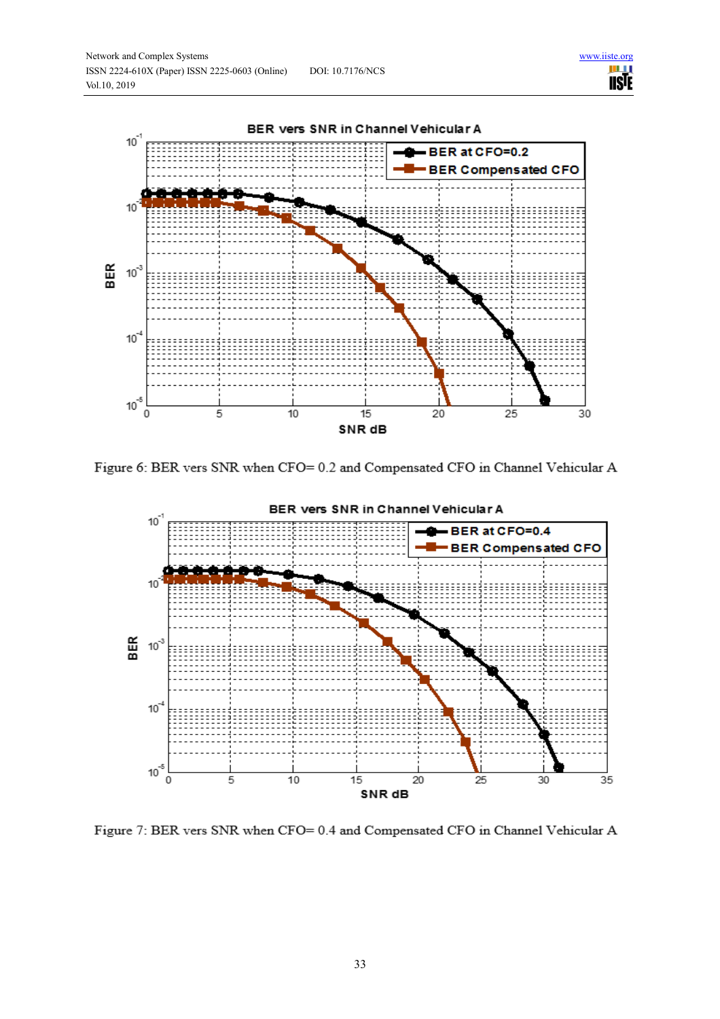



Figure 6: BER vers SNR when CFO= 0.2 and Compensated CFO in Channel Vehicular A



Figure 7: BER vers SNR when CFO= 0.4 and Compensated CFO in Channel Vehicular A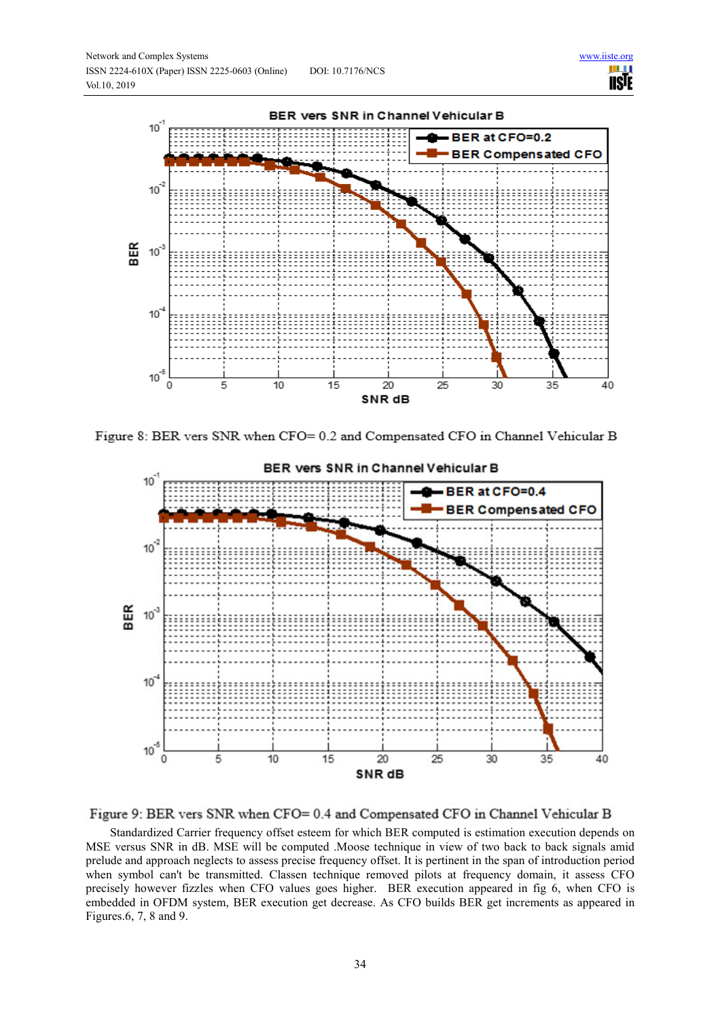



Figure 8: BER vers SNR when CFO= 0.2 and Compensated CFO in Channel Vehicular B



Figure 9: BER vers SNR when CFO= 0.4 and Compensated CFO in Channel Vehicular B

Standardized Carrier frequency offset esteem for which BER computed is estimation execution depends on MSE versus SNR in dB. MSE will be computed .Moose technique in view of two back to back signals amid prelude and approach neglects to assess precise frequency offset. It is pertinent in the span of introduction period when symbol can't be transmitted. Classen technique removed pilots at frequency domain, it assess CFO precisely however fizzles when CFO values goes higher. BER execution appeared in fig 6, when CFO is embedded in OFDM system, BER execution get decrease. As CFO builds BER get increments as appeared in Figures.6, 7, 8 and 9.